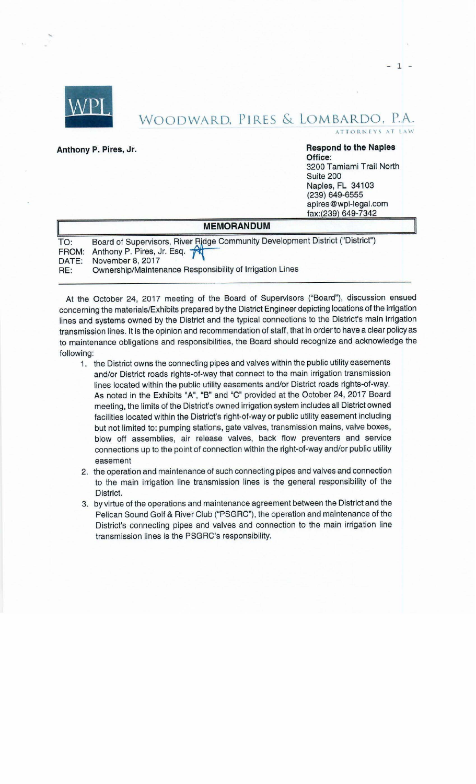

## WOODWARD, PIRES & LOMBARDO, INCORPORATION ATTORNEYS AT WOODWARD, PIRES & LOMBARDO, P.A.

 $1 -$ 

**Office:**  3200 Tamiami Trail North Suite 200 Naples, FL 34103 (239) 649-6555 [apires@wpl-legal.com](mailto:apires@wpl-legal.com)  fax:(239) 649-7342

|            | <b>MEMORANDUM</b>                                                                                                                                                                                       |
|------------|---------------------------------------------------------------------------------------------------------------------------------------------------------------------------------------------------------|
| TO:<br>RE: | Board of Supervisors, River Ridge Community Development District ("District")<br>FROM: Anthony P. Pires, Jr. Esq.<br>DATE: November 8, 2017<br>Ownership/Maintenance Responsibility of Irrigation Lines |

At the October 24, 2017 meeting of the Board of Supervisors ("Board"), discussion ensued concerning the materials/Exhibits prepared by the District Engineer depicting locations of the irrigation lines and systems owned by the District and the typical connections to the District's main irrigation transmission lines. It is the opinion and recommendation of staff, that in order to have a clear policy as to maintenance obligations and responsibilities, the Board should recognize and acknowledge the following:

- 1. the District owns the connecting pipes and valves within the public utility easements and/or District roads rights-of-way that connect to the main irrigation transmission lines located within the public utility easements and/or District roads rights-of-way. As noted in the Exhibits "A", "B" and "C" provided at the October 24, 2017 Board meeting, the limits of the District's owned irrigation system includes all District owned facilities located within the District's right-of-way or public utility easement including but not limited to: pumping stations, gate valves, transmission mains, valve boxes, blow off assemblies, air release valves, back flow preventers and service connections up to the point of connection within the right-of-way and/or public utility easement
- 2. the operation and maintenance of such connecting pipes and valves and connection to the main irrigation line transmission lines is the general responsibility of the District.
- 3. by virtue of the operations and maintenance agreement between the District and the Pelican Sound Golf & River Club ("PSGRC"), the operation and maintenance of the District's connecting pipes and valves and connection to the main irrigation line transmission lines is the PSGRC's responsibility.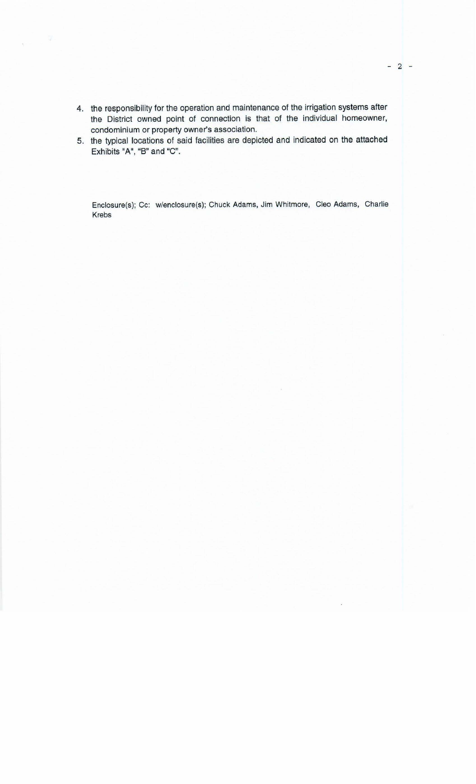- 4. the responsibility for the operation and maintenance of the irrigation systems after the District owned point of connection is that of the individual homeowner, condominium or property owner's association.
- 5. the typical locations of said facilities are depicted and indicated on the attached Exhibits "A", "B" and "C".

Enclosure(s); Cc: w/enclosure(s); Chuck Adams, Jim Whitmore, Cleo Adams, Charlie Krebs

 $- 2 -$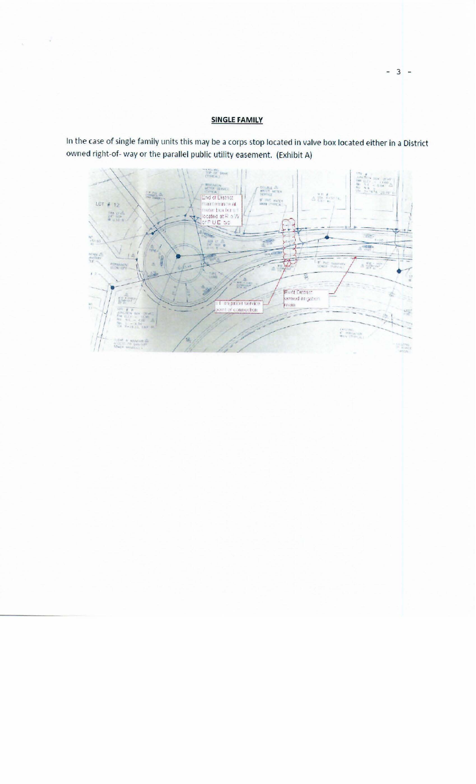## **SINGLE FAMILY**

 $\rightarrow$ 

w.

In the case of single family units this may be a corps stop located in valve box located either in a District owned right-of- way or the parallel public utility easement. (Exhibit A)



 $-3 -$